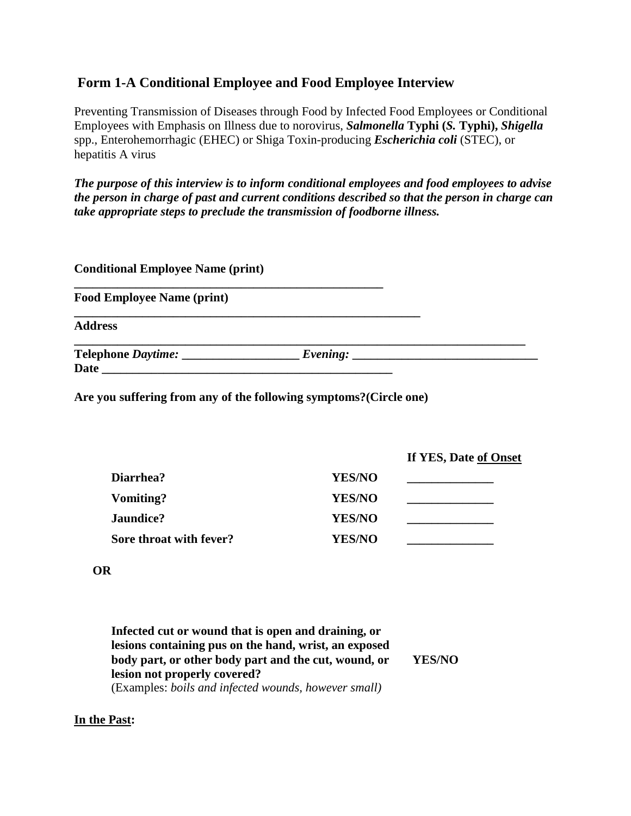## **Form 1-A Conditional Employee and Food Employee Interview**

Preventing Transmission of Diseases through Food by Infected Food Employees or Conditional Employees with Emphasis on Illness due to norovirus, *Salmonella* **Typhi (***S.* **Typhi),** *Shigella* spp., Enterohemorrhagic (EHEC) or Shiga Toxin-producing *Escherichia coli* (STEC), or hepatitis A virus

*The purpose of this interview is to inform conditional employees and food employees to advise the person in charge of past and current conditions described so that the person in charge can take appropriate steps to preclude the transmission of foodborne illness.*

| <b>Conditional Employee Name (print)</b> |  |
|------------------------------------------|--|
| <b>Food Employee Name (print)</b>        |  |
| <b>Address</b>                           |  |
| Date                                     |  |

**Are you suffering from any of the following symptoms?(Circle one)**

| <b>YES/NO</b> |  |
|---------------|--|
| <b>YES/NO</b> |  |
| <b>YES/NO</b> |  |
| <b>YES/NO</b> |  |
|               |  |

**If YES, Date of Onset**

## **OR**

**Infected cut or wound that is open and draining, or lesions containing pus on the hand, wrist, an exposed body part, or other body part and the cut, wound, or lesion not properly covered?** (Examples: *boils and infected wounds, however small)* **YES/NO**

## **In the Past:**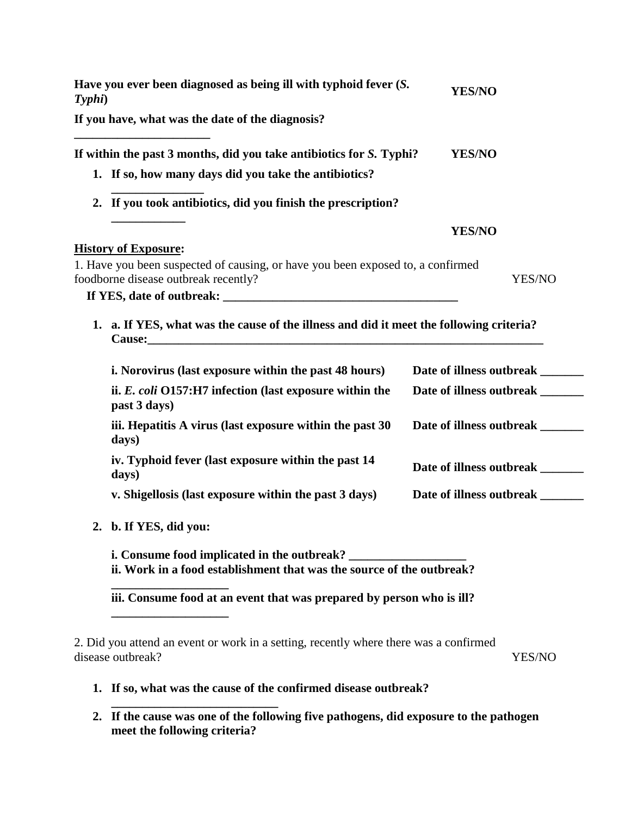| Typhi) | Have you ever been diagnosed as being ill with typhoid fever (S.                                                        | <b>YES/NO</b>                    |
|--------|-------------------------------------------------------------------------------------------------------------------------|----------------------------------|
|        | If you have, what was the date of the diagnosis?                                                                        |                                  |
|        | If within the past 3 months, did you take antibiotics for S. Typhi?                                                     | <b>YES/NO</b>                    |
|        | 1. If so, how many days did you take the antibiotics?                                                                   |                                  |
|        | 2. If you took antibiotics, did you finish the prescription?                                                            |                                  |
|        |                                                                                                                         | YES/NO                           |
|        | <b>History of Exposure:</b>                                                                                             |                                  |
|        | 1. Have you been suspected of causing, or have you been exposed to, a confirmed<br>foodborne disease outbreak recently? | YES/NO                           |
|        |                                                                                                                         |                                  |
|        | 1. a. If YES, what was the cause of the illness and did it meet the following criteria?                                 |                                  |
|        | i. Norovirus (last exposure within the past 48 hours)                                                                   | Date of illness outbreak _______ |
|        | ii. E. coli O157:H7 infection (last exposure within the<br>past 3 days)                                                 | Date of illness outbreak _______ |
|        | iii. Hepatitis A virus (last exposure within the past 30)<br>days)                                                      | Date of illness outbreak _______ |
|        | iv. Typhoid fever (last exposure within the past 14<br>days)                                                            | Date of illness outbreak ______  |
|        | v. Shigellosis (last exposure within the past 3 days)                                                                   | Date of illness outbreak _______ |
| 2.     | b. If YES, did you:                                                                                                     |                                  |
|        | i. Consume food implicated in the outbreak?<br>ii. Work in a food establishment that was the source of the outbreak?    |                                  |
|        | iii. Consume food at an event that was prepared by person who is ill?                                                   |                                  |
|        | 2. Did you attend an event or work in a setting, recently where there was a confirmed<br>disease outbreak?              | YES/NO                           |
|        | 1. If so, what was the cause of the confirmed disease outbreak?                                                         |                                  |

**\_\_\_\_\_\_\_\_\_\_\_\_\_\_\_\_\_\_\_\_\_\_\_\_\_\_\_ 2. If the cause was one of the following five pathogens, did exposure to the pathogen meet the following criteria?**